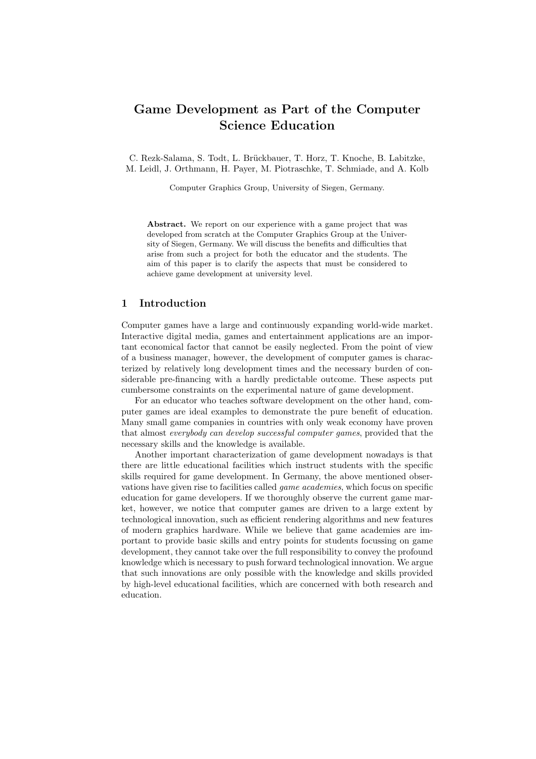# Game Development as Part of the Computer Science Education

C. Rezk-Salama, S. Todt, L. Brückbauer, T. Horz, T. Knoche, B. Labitzke, M. Leidl, J. Orthmann, H. Payer, M. Piotraschke, T. Schmiade, and A. Kolb

Computer Graphics Group, University of Siegen, Germany.

Abstract. We report on our experience with a game project that was developed from scratch at the Computer Graphics Group at the University of Siegen, Germany. We will discuss the benefits and difficulties that arise from such a project for both the educator and the students. The aim of this paper is to clarify the aspects that must be considered to achieve game development at university level.

# 1 Introduction

Computer games have a large and continuously expanding world-wide market. Interactive digital media, games and entertainment applications are an important economical factor that cannot be easily neglected. From the point of view of a business manager, however, the development of computer games is characterized by relatively long development times and the necessary burden of considerable pre-financing with a hardly predictable outcome. These aspects put cumbersome constraints on the experimental nature of game development.

For an educator who teaches software development on the other hand, computer games are ideal examples to demonstrate the pure benefit of education. Many small game companies in countries with only weak economy have proven that almost everybody can develop successful computer games, provided that the necessary skills and the knowledge is available.

Another important characterization of game development nowadays is that there are little educational facilities which instruct students with the specific skills required for game development. In Germany, the above mentioned observations have given rise to facilities called game academies, which focus on specific education for game developers. If we thoroughly observe the current game market, however, we notice that computer games are driven to a large extent by technological innovation, such as efficient rendering algorithms and new features of modern graphics hardware. While we believe that game academies are important to provide basic skills and entry points for students focussing on game development, they cannot take over the full responsibility to convey the profound knowledge which is necessary to push forward technological innovation. We argue that such innovations are only possible with the knowledge and skills provided by high-level educational facilities, which are concerned with both research and education.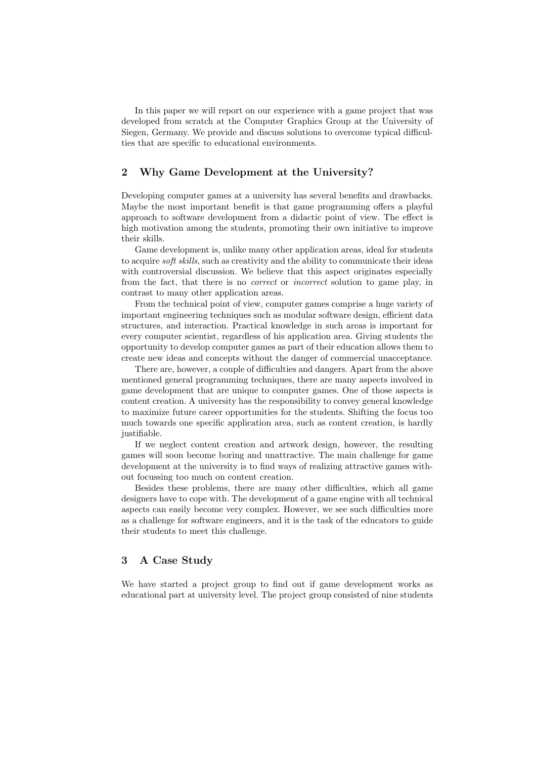In this paper we will report on our experience with a game project that was developed from scratch at the Computer Graphics Group at the University of Siegen, Germany. We provide and discuss solutions to overcome typical difficulties that are specific to educational environments.

# 2 Why Game Development at the University?

Developing computer games at a university has several benefits and drawbacks. Maybe the most important benefit is that game programming offers a playful approach to software development from a didactic point of view. The effect is high motivation among the students, promoting their own initiative to improve their skills.

Game development is, unlike many other application areas, ideal for students to acquire *soft skills*, such as creativity and the ability to communicate their ideas with controversial discussion. We believe that this aspect originates especially from the fact, that there is no correct or incorrect solution to game play, in contrast to many other application areas.

From the technical point of view, computer games comprise a huge variety of important engineering techniques such as modular software design, efficient data structures, and interaction. Practical knowledge in such areas is important for every computer scientist, regardless of his application area. Giving students the opportunity to develop computer games as part of their education allows them to create new ideas and concepts without the danger of commercial unacceptance.

There are, however, a couple of difficulties and dangers. Apart from the above mentioned general programming techniques, there are many aspects involved in game development that are unique to computer games. One of those aspects is content creation. A university has the responsibility to convey general knowledge to maximize future career opportunities for the students. Shifting the focus too much towards one specific application area, such as content creation, is hardly justifiable.

If we neglect content creation and artwork design, however, the resulting games will soon become boring and unattractive. The main challenge for game development at the university is to find ways of realizing attractive games without focussing too much on content creation.

Besides these problems, there are many other difficulties, which all game designers have to cope with. The development of a game engine with all technical aspects can easily become very complex. However, we see such difficulties more as a challenge for software engineers, and it is the task of the educators to guide their students to meet this challenge.

# 3 A Case Study

We have started a project group to find out if game development works as educational part at university level. The project group consisted of nine students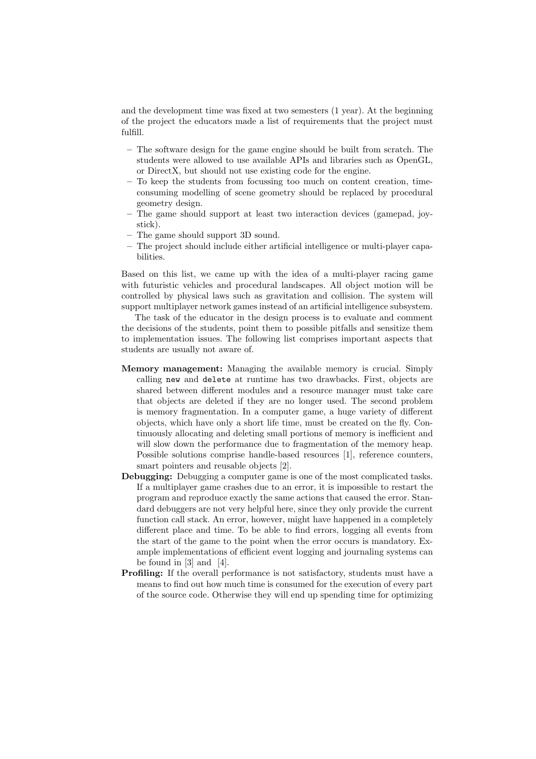and the development time was fixed at two semesters (1 year). At the beginning of the project the educators made a list of requirements that the project must fulfill.

- The software design for the game engine should be built from scratch. The students were allowed to use available APIs and libraries such as OpenGL, or DirectX, but should not use existing code for the engine.
- To keep the students from focussing too much on content creation, timeconsuming modelling of scene geometry should be replaced by procedural geometry design.
- The game should support at least two interaction devices (gamepad, joystick).
- The game should support 3D sound.
- The project should include either artificial intelligence or multi-player capabilities.

Based on this list, we came up with the idea of a multi-player racing game with futuristic vehicles and procedural landscapes. All object motion will be controlled by physical laws such as gravitation and collision. The system will support multiplayer network games instead of an artificial intelligence subsystem.

The task of the educator in the design process is to evaluate and comment the decisions of the students, point them to possible pitfalls and sensitize them to implementation issues. The following list comprises important aspects that students are usually not aware of.

- Memory management: Managing the available memory is crucial. Simply calling new and delete at runtime has two drawbacks. First, objects are shared between different modules and a resource manager must take care that objects are deleted if they are no longer used. The second problem is memory fragmentation. In a computer game, a huge variety of different objects, which have only a short life time, must be created on the fly. Continuously allocating and deleting small portions of memory is inefficient and will slow down the performance due to fragmentation of the memory heap. Possible solutions comprise handle-based resources [1], reference counters, smart pointers and reusable objects [2].
- Debugging: Debugging a computer game is one of the most complicated tasks. If a multiplayer game crashes due to an error, it is impossible to restart the program and reproduce exactly the same actions that caused the error. Standard debuggers are not very helpful here, since they only provide the current function call stack. An error, however, might have happened in a completely different place and time. To be able to find errors, logging all events from the start of the game to the point when the error occurs is mandatory. Example implementations of efficient event logging and journaling systems can be found in  $[3]$  and  $[4]$ .
- Profiling: If the overall performance is not satisfactory, students must have a means to find out how much time is consumed for the execution of every part of the source code. Otherwise they will end up spending time for optimizing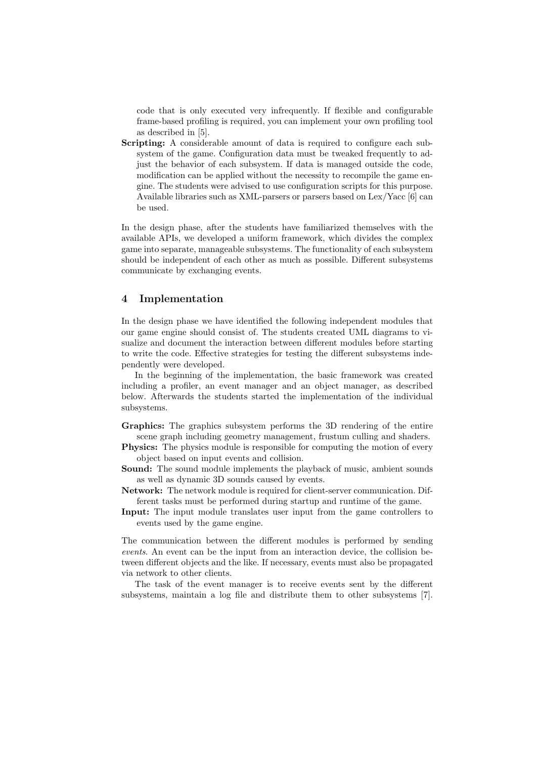code that is only executed very infrequently. If flexible and configurable frame-based profiling is required, you can implement your own profiling tool as described in [5].

Scripting: A considerable amount of data is required to configure each subsystem of the game. Configuration data must be tweaked frequently to adjust the behavior of each subsystem. If data is managed outside the code, modification can be applied without the necessity to recompile the game engine. The students were advised to use configuration scripts for this purpose. Available libraries such as XML-parsers or parsers based on Lex/Yacc [6] can be used.

In the design phase, after the students have familiarized themselves with the available APIs, we developed a uniform framework, which divides the complex game into separate, manageable subsystems. The functionality of each subsystem should be independent of each other as much as possible. Different subsystems communicate by exchanging events.

## 4 Implementation

In the design phase we have identified the following independent modules that our game engine should consist of. The students created UML diagrams to visualize and document the interaction between different modules before starting to write the code. Effective strategies for testing the different subsystems independently were developed.

In the beginning of the implementation, the basic framework was created including a profiler, an event manager and an object manager, as described below. Afterwards the students started the implementation of the individual subsystems.

- Graphics: The graphics subsystem performs the 3D rendering of the entire scene graph including geometry management, frustum culling and shaders.
- **Physics:** The physics module is responsible for computing the motion of every object based on input events and collision.
- Sound: The sound module implements the playback of music, ambient sounds as well as dynamic 3D sounds caused by events.
- Network: The network module is required for client-server communication. Different tasks must be performed during startup and runtime of the game.
- Input: The input module translates user input from the game controllers to events used by the game engine.

The communication between the different modules is performed by sending events. An event can be the input from an interaction device, the collision between different objects and the like. If necessary, events must also be propagated via network to other clients.

The task of the event manager is to receive events sent by the different subsystems, maintain a log file and distribute them to other subsystems [7].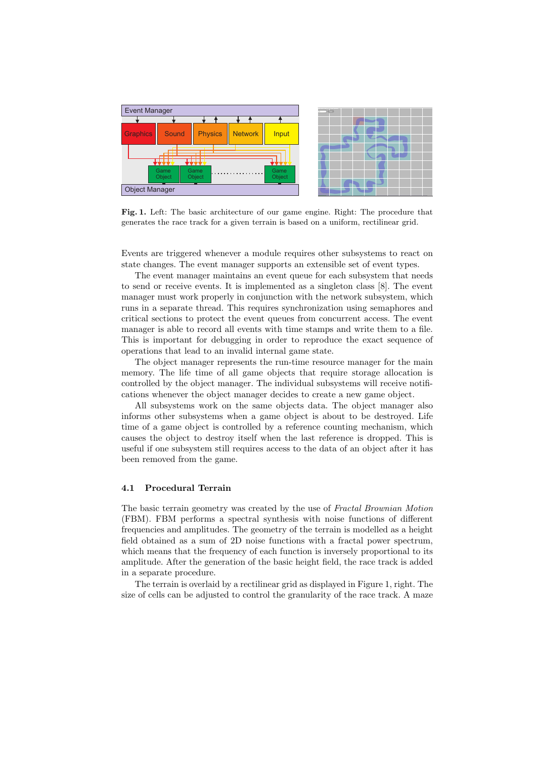

Fig. 1. Left: The basic architecture of our game engine. Right: The procedure that generates the race track for a given terrain is based on a uniform, rectilinear grid.

Events are triggered whenever a module requires other subsystems to react on state changes. The event manager supports an extensible set of event types.

The event manager maintains an event queue for each subsystem that needs to send or receive events. It is implemented as a singleton class [8]. The event manager must work properly in conjunction with the network subsystem, which runs in a separate thread. This requires synchronization using semaphores and critical sections to protect the event queues from concurrent access. The event manager is able to record all events with time stamps and write them to a file. This is important for debugging in order to reproduce the exact sequence of operations that lead to an invalid internal game state.

The object manager represents the run-time resource manager for the main memory. The life time of all game objects that require storage allocation is controlled by the object manager. The individual subsystems will receive notifications whenever the object manager decides to create a new game object.

All subsystems work on the same objects data. The object manager also informs other subsystems when a game object is about to be destroyed. Life time of a game object is controlled by a reference counting mechanism, which causes the object to destroy itself when the last reference is dropped. This is useful if one subsystem still requires access to the data of an object after it has been removed from the game.

#### 4.1 Procedural Terrain

The basic terrain geometry was created by the use of Fractal Brownian Motion (FBM). FBM performs a spectral synthesis with noise functions of different frequencies and amplitudes. The geometry of the terrain is modelled as a height field obtained as a sum of 2D noise functions with a fractal power spectrum, which means that the frequency of each function is inversely proportional to its amplitude. After the generation of the basic height field, the race track is added in a separate procedure.

The terrain is overlaid by a rectilinear grid as displayed in Figure 1, right. The size of cells can be adjusted to control the granularity of the race track. A maze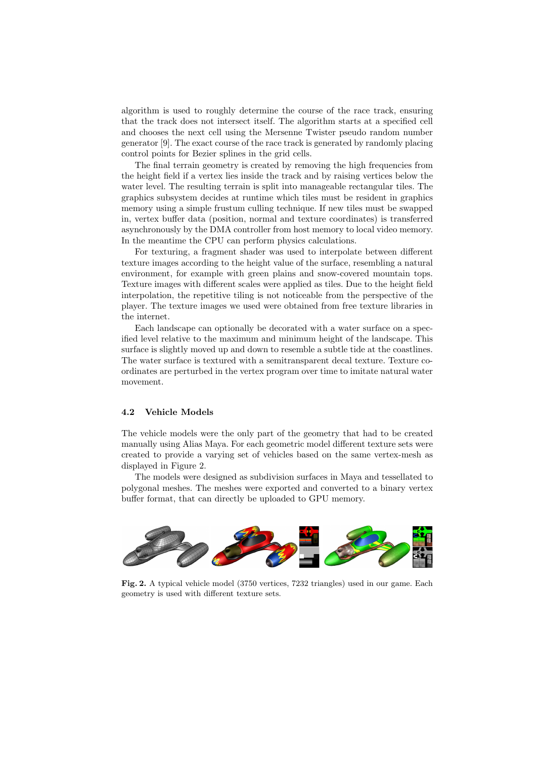algorithm is used to roughly determine the course of the race track, ensuring that the track does not intersect itself. The algorithm starts at a specified cell and chooses the next cell using the Mersenne Twister pseudo random number generator [9]. The exact course of the race track is generated by randomly placing control points for Bezier splines in the grid cells.

The final terrain geometry is created by removing the high frequencies from the height field if a vertex lies inside the track and by raising vertices below the water level. The resulting terrain is split into manageable rectangular tiles. The graphics subsystem decides at runtime which tiles must be resident in graphics memory using a simple frustum culling technique. If new tiles must be swapped in, vertex buffer data (position, normal and texture coordinates) is transferred asynchronously by the DMA controller from host memory to local video memory. In the meantime the CPU can perform physics calculations.

For texturing, a fragment shader was used to interpolate between different texture images according to the height value of the surface, resembling a natural environment, for example with green plains and snow-covered mountain tops. Texture images with different scales were applied as tiles. Due to the height field interpolation, the repetitive tiling is not noticeable from the perspective of the player. The texture images we used were obtained from free texture libraries in the internet.

Each landscape can optionally be decorated with a water surface on a specified level relative to the maximum and minimum height of the landscape. This surface is slightly moved up and down to resemble a subtle tide at the coastlines. The water surface is textured with a semitransparent decal texture. Texture coordinates are perturbed in the vertex program over time to imitate natural water movement.

#### 4.2 Vehicle Models

The vehicle models were the only part of the geometry that had to be created manually using Alias Maya. For each geometric model different texture sets were created to provide a varying set of vehicles based on the same vertex-mesh as displayed in Figure 2.

The models were designed as subdivision surfaces in Maya and tessellated to polygonal meshes. The meshes were exported and converted to a binary vertex buffer format, that can directly be uploaded to GPU memory.



Fig. 2. A typical vehicle model (3750 vertices, 7232 triangles) used in our game. Each geometry is used with different texture sets.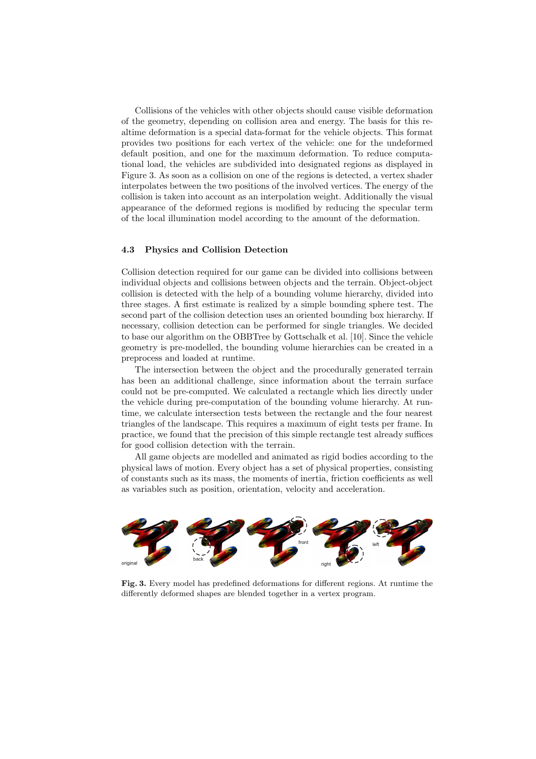Collisions of the vehicles with other objects should cause visible deformation of the geometry, depending on collision area and energy. The basis for this realtime deformation is a special data-format for the vehicle objects. This format provides two positions for each vertex of the vehicle: one for the undeformed default position, and one for the maximum deformation. To reduce computational load, the vehicles are subdivided into designated regions as displayed in Figure 3. As soon as a collision on one of the regions is detected, a vertex shader interpolates between the two positions of the involved vertices. The energy of the collision is taken into account as an interpolation weight. Additionally the visual appearance of the deformed regions is modified by reducing the specular term of the local illumination model according to the amount of the deformation.

#### 4.3 Physics and Collision Detection

Collision detection required for our game can be divided into collisions between individual objects and collisions between objects and the terrain. Object-object collision is detected with the help of a bounding volume hierarchy, divided into three stages. A first estimate is realized by a simple bounding sphere test. The second part of the collision detection uses an oriented bounding box hierarchy. If necessary, collision detection can be performed for single triangles. We decided to base our algorithm on the OBBTree by Gottschalk et al. [10]. Since the vehicle geometry is pre-modelled, the bounding volume hierarchies can be created in a preprocess and loaded at runtime.

The intersection between the object and the procedurally generated terrain has been an additional challenge, since information about the terrain surface could not be pre-computed. We calculated a rectangle which lies directly under the vehicle during pre-computation of the bounding volume hierarchy. At runtime, we calculate intersection tests between the rectangle and the four nearest triangles of the landscape. This requires a maximum of eight tests per frame. In practice, we found that the precision of this simple rectangle test already suffices for good collision detection with the terrain.

All game objects are modelled and animated as rigid bodies according to the physical laws of motion. Every object has a set of physical properties, consisting of constants such as its mass, the moments of inertia, friction coefficients as well as variables such as position, orientation, velocity and acceleration.



Fig. 3. Every model has predefined deformations for different regions. At runtime the differently deformed shapes are blended together in a vertex program.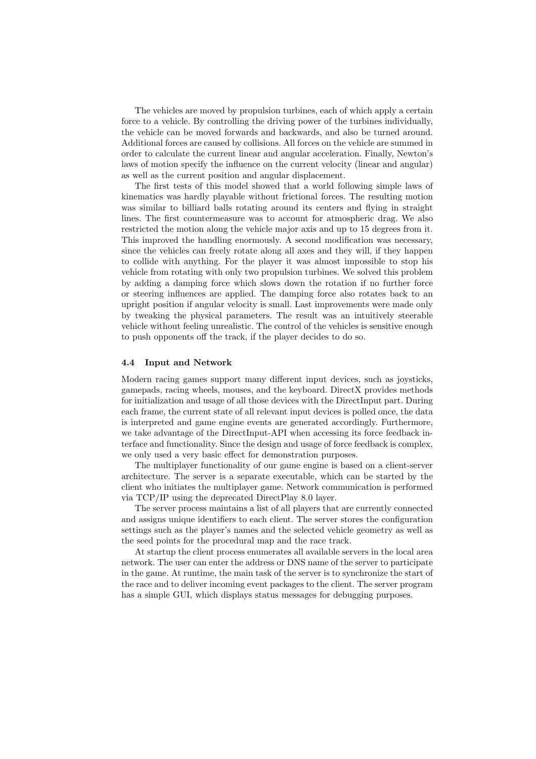The vehicles are moved by propulsion turbines, each of which apply a certain force to a vehicle. By controlling the driving power of the turbines individually, the vehicle can be moved forwards and backwards, and also be turned around. Additional forces are caused by collisions. All forces on the vehicle are summed in order to calculate the current linear and angular acceleration. Finally, Newton's laws of motion specify the influence on the current velocity (linear and angular) as well as the current position and angular displacement.

The first tests of this model showed that a world following simple laws of kinematics was hardly playable without frictional forces. The resulting motion was similar to billiard balls rotating around its centers and flying in straight lines. The first countermeasure was to account for atmospheric drag. We also restricted the motion along the vehicle major axis and up to 15 degrees from it. This improved the handling enormously. A second modification was necessary, since the vehicles can freely rotate along all axes and they will, if they happen to collide with anything. For the player it was almost impossible to stop his vehicle from rotating with only two propulsion turbines. We solved this problem by adding a damping force which slows down the rotation if no further force or steering influences are applied. The damping force also rotates back to an upright position if angular velocity is small. Last improvements were made only by tweaking the physical parameters. The result was an intuitively steerable vehicle without feeling unrealistic. The control of the vehicles is sensitive enough to push opponents off the track, if the player decides to do so.

#### 4.4 Input and Network

Modern racing games support many different input devices, such as joysticks, gamepads, racing wheels, mouses, and the keyboard. DirectX provides methods for initialization and usage of all those devices with the DirectInput part. During each frame, the current state of all relevant input devices is polled once, the data is interpreted and game engine events are generated accordingly. Furthermore, we take advantage of the DirectInput-API when accessing its force feedback interface and functionality. Since the design and usage of force feedback is complex, we only used a very basic effect for demonstration purposes.

The multiplayer functionality of our game engine is based on a client-server architecture. The server is a separate executable, which can be started by the client who initiates the multiplayer game. Network communication is performed via TCP/IP using the deprecated DirectPlay 8.0 layer.

The server process maintains a list of all players that are currently connected and assigns unique identifiers to each client. The server stores the configuration settings such as the player's names and the selected vehicle geometry as well as the seed points for the procedural map and the race track.

At startup the client process enumerates all available servers in the local area network. The user can enter the address or DNS name of the server to participate in the game. At runtime, the main task of the server is to synchronize the start of the race and to deliver incoming event packages to the client. The server program has a simple GUI, which displays status messages for debugging purposes.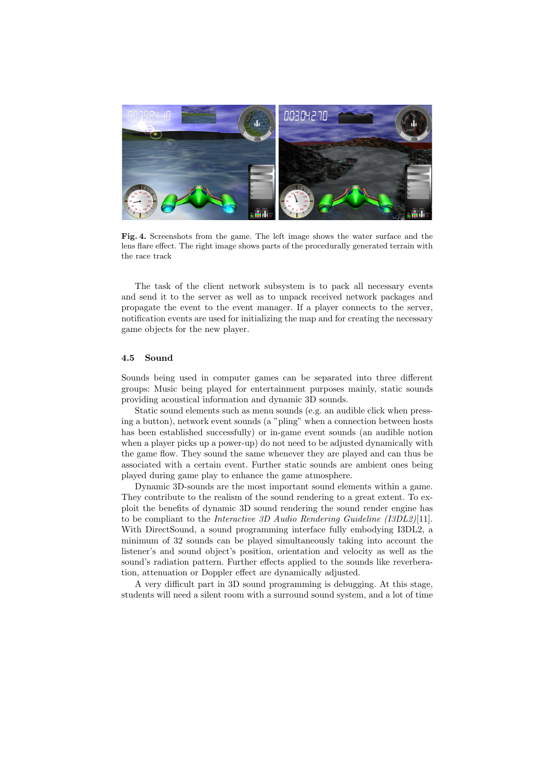

Fig. 4. Screenshots from the game. The left image shows the water surface and the lens flare effect. The right image shows parts of the procedurally generated terrain with the race track

The task of the client network subsystem is to pack all necessary events and send it to the server as well as to unpack received network packages and propagate the event to the event manager. If a player connects to the server, notification events are used for initializing the map and for creating the necessary game objects for the new player.

#### 4.5 Sound

Sounds being used in computer games can be separated into three different groups: Music being played for entertainment purposes mainly, static sounds providing acoustical information and dynamic 3D sounds.

Static sound elements such as menu sounds (e.g. an audible click when pressing a button), network event sounds (a "pling" when a connection between hosts has been established successfully) or in-game event sounds (an audible notion when a player picks up a power-up) do not need to be adjusted dynamically with the game flow. They sound the same whenever they are played and can thus be associated with a certain event. Further static sounds are ambient ones being played during game play to enhance the game atmosphere.

Dynamic 3D-sounds are the most important sound elements within a game. They contribute to the realism of the sound rendering to a great extent. To exploit the benefits of dynamic 3D sound rendering the sound render engine has to be compliant to the Interactive 3D Audio Rendering Guideline (I3DL2)[11]. With DirectSound, a sound programming interface fully embodying I3DL2, a minimum of 32 sounds can be played simultaneously taking into account the listener's and sound object's position, orientation and velocity as well as the sound's radiation pattern. Further effects applied to the sounds like reverberation, attenuation or Doppler effect are dynamically adjusted.

A very difficult part in 3D sound programming is debugging. At this stage, students will need a silent room with a surround sound system, and a lot of time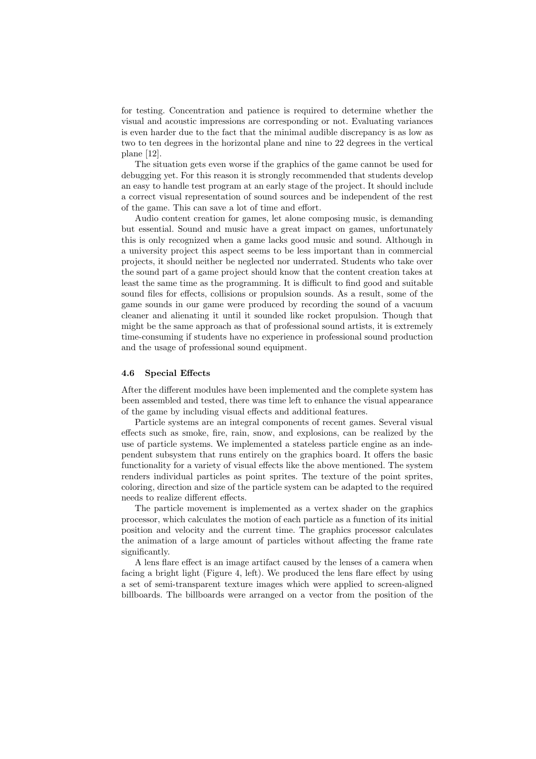for testing. Concentration and patience is required to determine whether the visual and acoustic impressions are corresponding or not. Evaluating variances is even harder due to the fact that the minimal audible discrepancy is as low as two to ten degrees in the horizontal plane and nine to 22 degrees in the vertical plane [12].

The situation gets even worse if the graphics of the game cannot be used for debugging yet. For this reason it is strongly recommended that students develop an easy to handle test program at an early stage of the project. It should include a correct visual representation of sound sources and be independent of the rest of the game. This can save a lot of time and effort.

Audio content creation for games, let alone composing music, is demanding but essential. Sound and music have a great impact on games, unfortunately this is only recognized when a game lacks good music and sound. Although in a university project this aspect seems to be less important than in commercial projects, it should neither be neglected nor underrated. Students who take over the sound part of a game project should know that the content creation takes at least the same time as the programming. It is difficult to find good and suitable sound files for effects, collisions or propulsion sounds. As a result, some of the game sounds in our game were produced by recording the sound of a vacuum cleaner and alienating it until it sounded like rocket propulsion. Though that might be the same approach as that of professional sound artists, it is extremely time-consuming if students have no experience in professional sound production and the usage of professional sound equipment.

#### 4.6 Special Effects

After the different modules have been implemented and the complete system has been assembled and tested, there was time left to enhance the visual appearance of the game by including visual effects and additional features.

Particle systems are an integral components of recent games. Several visual effects such as smoke, fire, rain, snow, and explosions, can be realized by the use of particle systems. We implemented a stateless particle engine as an independent subsystem that runs entirely on the graphics board. It offers the basic functionality for a variety of visual effects like the above mentioned. The system renders individual particles as point sprites. The texture of the point sprites, coloring, direction and size of the particle system can be adapted to the required needs to realize different effects.

The particle movement is implemented as a vertex shader on the graphics processor, which calculates the motion of each particle as a function of its initial position and velocity and the current time. The graphics processor calculates the animation of a large amount of particles without affecting the frame rate significantly.

A lens flare effect is an image artifact caused by the lenses of a camera when facing a bright light (Figure 4, left). We produced the lens flare effect by using a set of semi-transparent texture images which were applied to screen-aligned billboards. The billboards were arranged on a vector from the position of the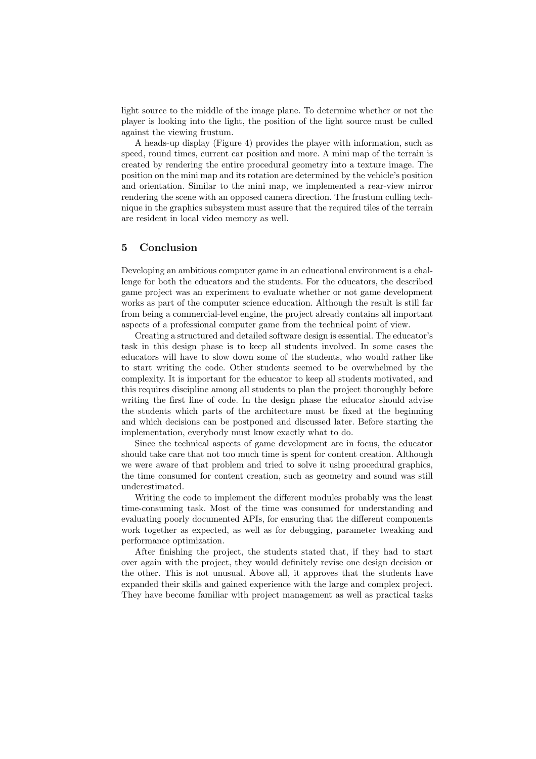light source to the middle of the image plane. To determine whether or not the player is looking into the light, the position of the light source must be culled against the viewing frustum.

A heads-up display (Figure 4) provides the player with information, such as speed, round times, current car position and more. A mini map of the terrain is created by rendering the entire procedural geometry into a texture image. The position on the mini map and its rotation are determined by the vehicle's position and orientation. Similar to the mini map, we implemented a rear-view mirror rendering the scene with an opposed camera direction. The frustum culling technique in the graphics subsystem must assure that the required tiles of the terrain are resident in local video memory as well.

## 5 Conclusion

Developing an ambitious computer game in an educational environment is a challenge for both the educators and the students. For the educators, the described game project was an experiment to evaluate whether or not game development works as part of the computer science education. Although the result is still far from being a commercial-level engine, the project already contains all important aspects of a professional computer game from the technical point of view.

Creating a structured and detailed software design is essential. The educator's task in this design phase is to keep all students involved. In some cases the educators will have to slow down some of the students, who would rather like to start writing the code. Other students seemed to be overwhelmed by the complexity. It is important for the educator to keep all students motivated, and this requires discipline among all students to plan the project thoroughly before writing the first line of code. In the design phase the educator should advise the students which parts of the architecture must be fixed at the beginning and which decisions can be postponed and discussed later. Before starting the implementation, everybody must know exactly what to do.

Since the technical aspects of game development are in focus, the educator should take care that not too much time is spent for content creation. Although we were aware of that problem and tried to solve it using procedural graphics, the time consumed for content creation, such as geometry and sound was still underestimated.

Writing the code to implement the different modules probably was the least time-consuming task. Most of the time was consumed for understanding and evaluating poorly documented APIs, for ensuring that the different components work together as expected, as well as for debugging, parameter tweaking and performance optimization.

After finishing the project, the students stated that, if they had to start over again with the project, they would definitely revise one design decision or the other. This is not unusual. Above all, it approves that the students have expanded their skills and gained experience with the large and complex project. They have become familiar with project management as well as practical tasks